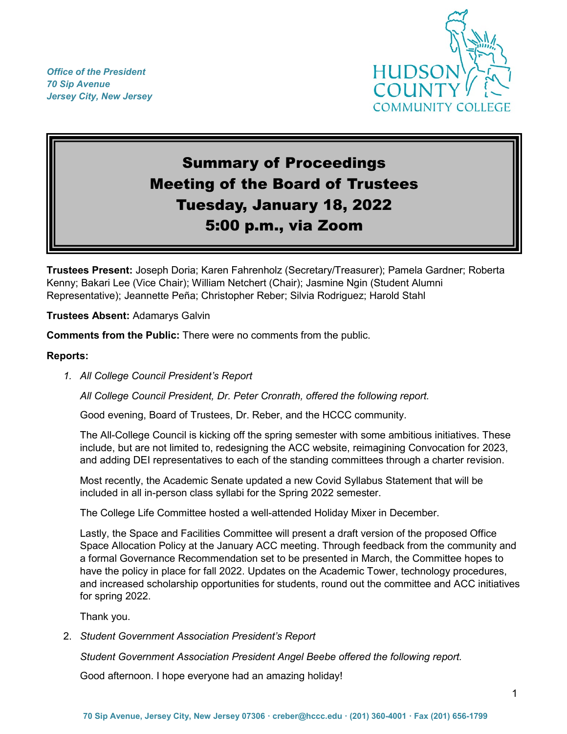*Office of the President 70 Sip Avenue Jersey City, New Jersey*



# Summary of Proceedings Meeting of the Board of Trustees Tuesday, January 18, 2022 5:00 p.m., via Zoom

**Trustees Present:** Joseph Doria; Karen Fahrenholz (Secretary/Treasurer); Pamela Gardner; Roberta Kenny; Bakari Lee (Vice Chair); William Netchert (Chair); Jasmine Ngin (Student Alumni Representative); Jeannette Peña; Christopher Reber; Silvia Rodriguez; Harold Stahl

**Trustees Absent:** Adamarys Galvin

**Comments from the Public:** There were no comments from the public.

#### **Reports:**

*1. All College Council President's Report*

*All College Council President, Dr. Peter Cronrath, offered the following report.*

Good evening, Board of Trustees, Dr. Reber, and the HCCC community.

The All-College Council is kicking off the spring semester with some ambitious initiatives. These include, but are not limited to, redesigning the ACC website, reimagining Convocation for 2023, and adding DEI representatives to each of the standing committees through a charter revision.

Most recently, the Academic Senate updated a new Covid Syllabus Statement that will be included in all in-person class syllabi for the Spring 2022 semester.

The College Life Committee hosted a well-attended Holiday Mixer in December.

Lastly, the Space and Facilities Committee will present a draft version of the proposed Office Space Allocation Policy at the January ACC meeting. Through feedback from the community and a formal Governance Recommendation set to be presented in March, the Committee hopes to have the policy in place for fall 2022. Updates on the Academic Tower, technology procedures, and increased scholarship opportunities for students, round out the committee and ACC initiatives for spring 2022.

Thank you.

2. *Student Government Association President's Report*

*Student Government Association President Angel Beebe offered the following report.*

Good afternoon. I hope everyone had an amazing holiday!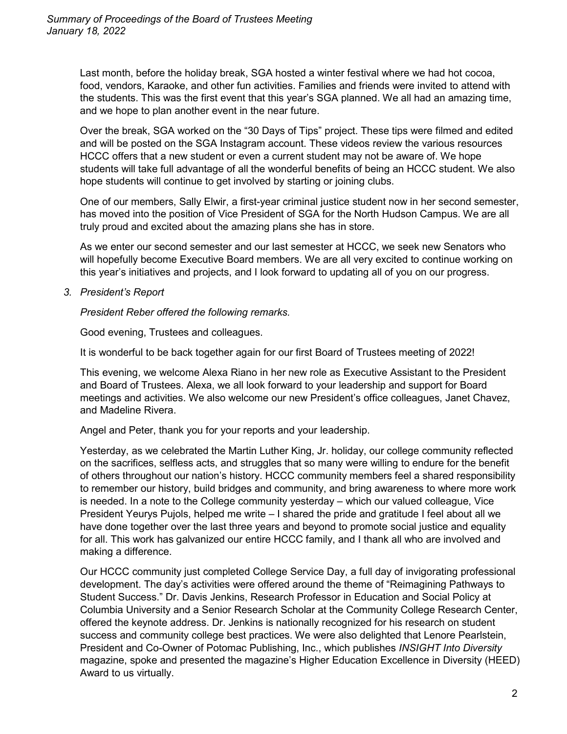Last month, before the holiday break, SGA hosted a winter festival where we had hot cocoa, food, vendors, Karaoke, and other fun activities. Families and friends were invited to attend with the students. This was the first event that this year's SGA planned. We all had an amazing time, and we hope to plan another event in the near future.

Over the break, SGA worked on the "30 Days of Tips" project. These tips were filmed and edited and will be posted on the SGA Instagram account. These videos review the various resources HCCC offers that a new student or even a current student may not be aware of. We hope students will take full advantage of all the wonderful benefits of being an HCCC student. We also hope students will continue to get involved by starting or joining clubs.

One of our members, Sally Elwir, a first-year criminal justice student now in her second semester, has moved into the position of Vice President of SGA for the North Hudson Campus. We are all truly proud and excited about the amazing plans she has in store.

As we enter our second semester and our last semester at HCCC, we seek new Senators who will hopefully become Executive Board members. We are all very excited to continue working on this year's initiatives and projects, and I look forward to updating all of you on our progress.

*3. President's Report*

*President Reber offered the following remarks.*

Good evening, Trustees and colleagues.

It is wonderful to be back together again for our first Board of Trustees meeting of 2022!

This evening, we welcome Alexa Riano in her new role as Executive Assistant to the President and Board of Trustees. Alexa, we all look forward to your leadership and support for Board meetings and activities. We also welcome our new President's office colleagues, Janet Chavez, and Madeline Rivera.

Angel and Peter, thank you for your reports and your leadership.

Yesterday, as we celebrated the Martin Luther King, Jr. holiday, our college community reflected on the sacrifices, selfless acts, and struggles that so many were willing to endure for the benefit of others throughout our nation's history. HCCC community members feel a shared responsibility to remember our history, build bridges and community, and bring awareness to where more work is needed. In a note to the College community yesterday – which our valued colleague, Vice President Yeurys Pujols, helped me write – I shared the pride and gratitude I feel about all we have done together over the last three years and beyond to promote social justice and equality for all. This work has galvanized our entire HCCC family, and I thank all who are involved and making a difference.

Our HCCC community just completed College Service Day, a full day of invigorating professional development. The day's activities were offered around the theme of "Reimagining Pathways to Student Success." Dr. Davis Jenkins, Research Professor in Education and Social Policy at Columbia University and a Senior Research Scholar at the Community College Research Center, offered the keynote address. Dr. Jenkins is nationally recognized for his research on student success and community college best practices. We were also delighted that Lenore Pearlstein, President and Co-Owner of Potomac Publishing, Inc., which publishes *INSIGHT Into Diversity* magazine, spoke and presented the magazine's Higher Education Excellence in Diversity (HEED) Award to us virtually.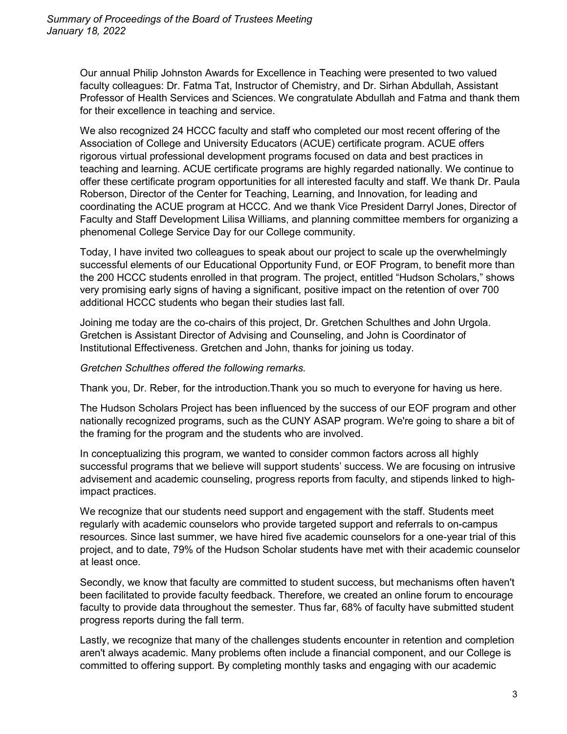Our annual Philip Johnston Awards for Excellence in Teaching were presented to two valued faculty colleagues: Dr. Fatma Tat, Instructor of Chemistry, and Dr. Sirhan Abdullah, Assistant Professor of Health Services and Sciences. We congratulate Abdullah and Fatma and thank them for their excellence in teaching and service.

We also recognized 24 HCCC faculty and staff who completed our most recent offering of the Association of College and University Educators (ACUE) certificate program. ACUE offers rigorous virtual professional development programs focused on data and best practices in teaching and learning. ACUE certificate programs are highly regarded nationally. We continue to offer these certificate program opportunities for all interested faculty and staff. We thank Dr. Paula Roberson, Director of the Center for Teaching, Learning, and Innovation, for leading and coordinating the ACUE program at HCCC. And we thank Vice President Darryl Jones, Director of Faculty and Staff Development Lilisa Williams, and planning committee members for organizing a phenomenal College Service Day for our College community.

Today, I have invited two colleagues to speak about our project to scale up the overwhelmingly successful elements of our Educational Opportunity Fund, or EOF Program, to benefit more than the 200 HCCC students enrolled in that program. The project, entitled "Hudson Scholars," shows very promising early signs of having a significant, positive impact on the retention of over 700 additional HCCC students who began their studies last fall.

Joining me today are the co-chairs of this project, Dr. Gretchen Schulthes and John Urgola. Gretchen is Assistant Director of Advising and Counseling, and John is Coordinator of Institutional Effectiveness. Gretchen and John, thanks for joining us today.

*Gretchen Schulthes offered the following remarks.*

Thank you, Dr. Reber, for the introduction.Thank you so much to everyone for having us here.

The Hudson Scholars Project has been influenced by the success of our EOF program and other nationally recognized programs, such as the CUNY ASAP program. We're going to share a bit of the framing for the program and the students who are involved.

In conceptualizing this program, we wanted to consider common factors across all highly successful programs that we believe will support students' success. We are focusing on intrusive advisement and academic counseling, progress reports from faculty, and stipends linked to highimpact practices.

We recognize that our students need support and engagement with the staff. Students meet regularly with academic counselors who provide targeted support and referrals to on-campus resources. Since last summer, we have hired five academic counselors for a one-year trial of this project, and to date, 79% of the Hudson Scholar students have met with their academic counselor at least once.

Secondly, we know that faculty are committed to student success, but mechanisms often haven't been facilitated to provide faculty feedback. Therefore, we created an online forum to encourage faculty to provide data throughout the semester. Thus far, 68% of faculty have submitted student progress reports during the fall term.

Lastly, we recognize that many of the challenges students encounter in retention and completion aren't always academic. Many problems often include a financial component, and our College is committed to offering support. By completing monthly tasks and engaging with our academic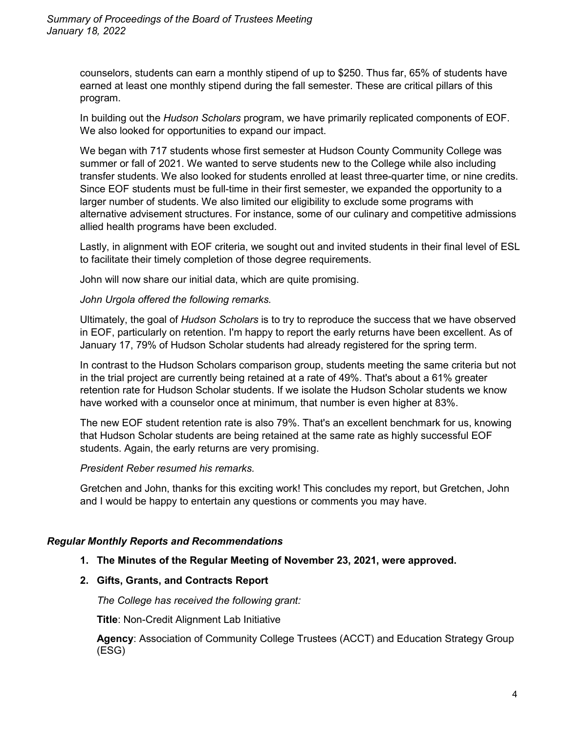counselors, students can earn a monthly stipend of up to \$250. Thus far, 65% of students have earned at least one monthly stipend during the fall semester. These are critical pillars of this program.

In building out the *Hudson Scholars* program, we have primarily replicated components of EOF. We also looked for opportunities to expand our impact.

We began with 717 students whose first semester at Hudson County Community College was summer or fall of 2021. We wanted to serve students new to the College while also including transfer students. We also looked for students enrolled at least three-quarter time, or nine credits. Since EOF students must be full-time in their first semester, we expanded the opportunity to a larger number of students. We also limited our eligibility to exclude some programs with alternative advisement structures. For instance, some of our culinary and competitive admissions allied health programs have been excluded.

Lastly, in alignment with EOF criteria, we sought out and invited students in their final level of ESL to facilitate their timely completion of those degree requirements.

John will now share our initial data, which are quite promising.

#### *John Urgola offered the following remarks.*

Ultimately, the goal of *Hudson Scholars* is to try to reproduce the success that we have observed in EOF, particularly on retention. I'm happy to report the early returns have been excellent. As of January 17, 79% of Hudson Scholar students had already registered for the spring term.

In contrast to the Hudson Scholars comparison group, students meeting the same criteria but not in the trial project are currently being retained at a rate of 49%. That's about a 61% greater retention rate for Hudson Scholar students. If we isolate the Hudson Scholar students we know have worked with a counselor once at minimum, that number is even higher at 83%.

The new EOF student retention rate is also 79%. That's an excellent benchmark for us, knowing that Hudson Scholar students are being retained at the same rate as highly successful EOF students. Again, the early returns are very promising.

#### *President Reber resumed his remarks.*

Gretchen and John, thanks for this exciting work! This concludes my report, but Gretchen, John and I would be happy to entertain any questions or comments you may have.

## *Regular Monthly Reports and Recommendations*

## **1. The Minutes of the Regular Meeting of November 23, 2021, were approved.**

## **2. Gifts, Grants, and Contracts Report**

*The College has received the following grant:* 

**Title**: Non-Credit Alignment Lab Initiative

**Agency**: Association of Community College Trustees (ACCT) and Education Strategy Group (ESG)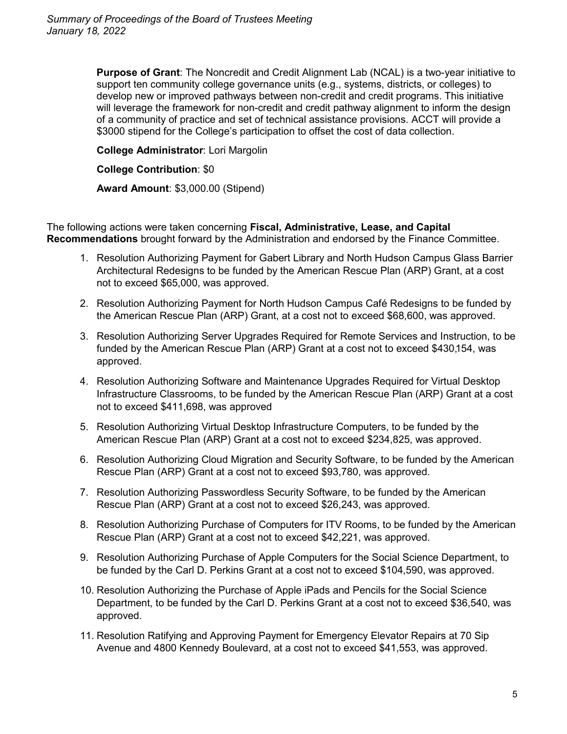**Purpose of Grant**: The Noncredit and Credit Alignment Lab (NCAL) is a two-year initiative to support ten community college governance units (e.g., systems, districts, or colleges) to develop new or improved pathways between non-credit and credit programs. This initiative will leverage the framework for non-credit and credit pathway alignment to inform the design of a community of practice and set of technical assistance provisions. ACCT will provide a \$3000 stipend for the College's participation to offset the cost of data collection.

**College Administrator**: Lori Margolin

#### **College Contribution**: \$0

**Award Amount**: \$3,000.00 (Stipend)

The following actions were taken concerning **Fiscal, Administrative, Lease, and Capital Recommendations** brought forward by the Administration and endorsed by the Finance Committee.

- 1. Resolution Authorizing Payment for Gabert Library and North Hudson Campus Glass Barrier Architectural Redesigns to be funded by the American Rescue Plan (ARP) Grant, at a cost not to exceed \$65,000, was approved.
- 2. Resolution Authorizing Payment for North Hudson Campus Café Redesigns to be funded by the American Rescue Plan (ARP) Grant, at a cost not to exceed \$68,600, was approved.
- 3. Resolution Authorizing Server Upgrades Required for Remote Services and Instruction, to be funded by the American Rescue Plan (ARP) Grant at a cost not to exceed \$430,154, was approved.
- 4. Resolution Authorizing Software and Maintenance Upgrades Required for Virtual Desktop Infrastructure Classrooms, to be funded by the American Rescue Plan (ARP) Grant at a cost not to exceed \$411,698, was approved
- 5. Resolution Authorizing Virtual Desktop Infrastructure Computers, to be funded by the American Rescue Plan (ARP) Grant at a cost not to exceed \$234,825, was approved.
- 6. Resolution Authorizing Cloud Migration and Security Software, to be funded by the American Rescue Plan (ARP) Grant at a cost not to exceed \$93,780, was approved.
- 7. Resolution Authorizing Passwordless Security Software, to be funded by the American Rescue Plan (ARP) Grant at a cost not to exceed \$26,243, was approved.
- 8. Resolution Authorizing Purchase of Computers for ITV Rooms, to be funded by the American Rescue Plan (ARP) Grant at a cost not to exceed \$42,221, was approved.
- 9. Resolution Authorizing Purchase of Apple Computers for the Social Science Department, to be funded by the Carl D. Perkins Grant at a cost not to exceed \$104,590, was approved.
- 10. Resolution Authorizing the Purchase of Apple iPads and Pencils for the Social Science Department, to be funded by the Carl D. Perkins Grant at a cost not to exceed \$36,540, was approved.
- 11. Resolution Ratifying and Approving Payment for Emergency Elevator Repairs at 70 Sip Avenue and 4800 Kennedy Boulevard, at a cost not to exceed \$41,553, was approved.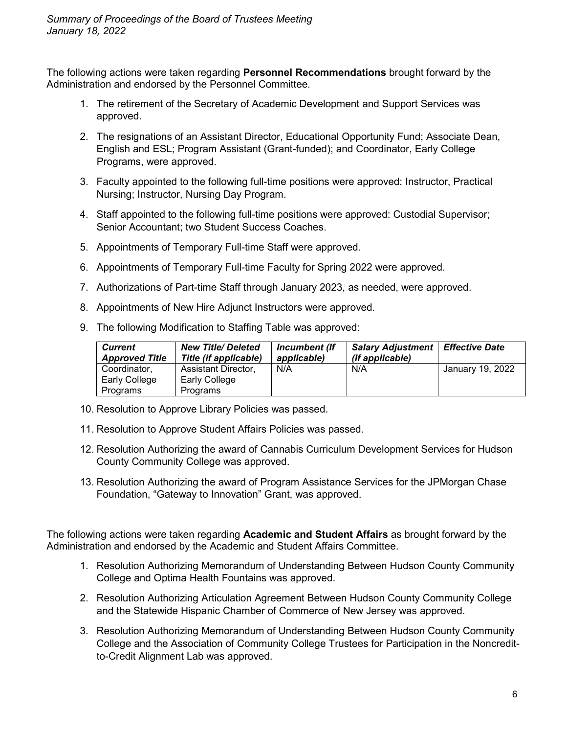The following actions were taken regarding **Personnel Recommendations** brought forward by the Administration and endorsed by the Personnel Committee.

- 1. The retirement of the Secretary of Academic Development and Support Services was approved.
- 2. The resignations of an Assistant Director, Educational Opportunity Fund; Associate Dean, English and ESL; Program Assistant (Grant-funded); and Coordinator, Early College Programs, were approved.
- 3. Faculty appointed to the following full-time positions were approved: Instructor, Practical Nursing; Instructor, Nursing Day Program.
- 4. Staff appointed to the following full-time positions were approved: Custodial Supervisor; Senior Accountant; two Student Success Coaches.
- 5. Appointments of Temporary Full-time Staff were approved.
- 6. Appointments of Temporary Full-time Faculty for Spring 2022 were approved.
- 7. Authorizations of Part-time Staff through January 2023, as needed, were approved.
- 8. Appointments of New Hire Adjunct Instructors were approved.
- 9. The following Modification to Staffing Table was approved:

| <b>Current</b><br><b>Approved Title</b> | <b>New Title/Deleted</b><br>Title (if applicable) | Incumbent (If<br>applicable) | <b>Salary Adjustment   Effective Date</b><br>(If applicable) |                  |
|-----------------------------------------|---------------------------------------------------|------------------------------|--------------------------------------------------------------|------------------|
| Coordinator,                            | Assistant Director,                               | N/A                          | N/A                                                          | January 19, 2022 |
| Early College                           | Early College                                     |                              |                                                              |                  |
| Programs                                | Programs                                          |                              |                                                              |                  |

- 10. Resolution to Approve Library Policies was passed.
- 11. Resolution to Approve Student Affairs Policies was passed.
- 12. Resolution Authorizing the award of Cannabis Curriculum Development Services for Hudson County Community College was approved.
- 13. Resolution Authorizing the award of Program Assistance Services for the JPMorgan Chase Foundation, "Gateway to Innovation" Grant, was approved.

The following actions were taken regarding **Academic and Student Affairs** as brought forward by the Administration and endorsed by the Academic and Student Affairs Committee.

- 1. Resolution Authorizing Memorandum of Understanding Between Hudson County Community College and Optima Health Fountains was approved.
- 2. Resolution Authorizing Articulation Agreement Between Hudson County Community College and the Statewide Hispanic Chamber of Commerce of New Jersey was approved.
- 3. Resolution Authorizing Memorandum of Understanding Between Hudson County Community College and the Association of Community College Trustees for Participation in the Noncreditto-Credit Alignment Lab was approved.